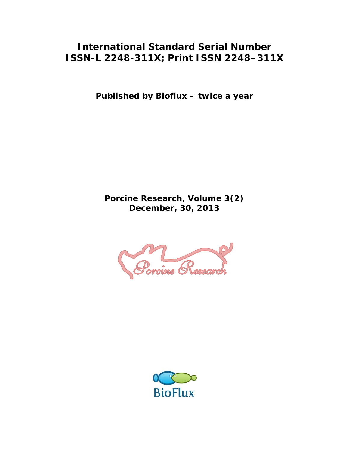## **International Standard Serial Number ISSN-L 2248-311X; Print ISSN 2248–311X**

**Published by Bioflux – twice a year** 

**Porcine Research, Volume 3(2) December, 30, 2013** 



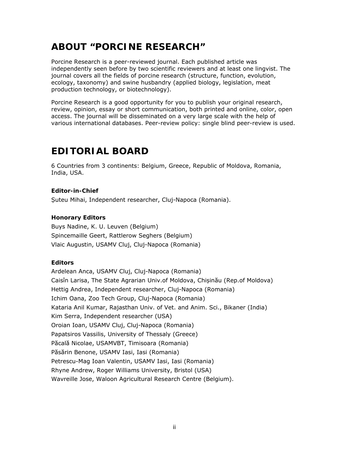# **ABOUT "PORCINE RESEARCH"**

Porcine Research is a peer-reviewed journal. Each published article was independently seen before by two scientific reviewers and at least one lingvist. The journal covers all the fields of porcine research (structure, function, evolution, ecology, taxonomy) and swine husbandry (applied biology, legislation, meat production technology, or biotechnology).

Porcine Research is a good opportunity for you to publish your original research, review, opinion, essay or short communication, both printed and online, color, open access. The journal will be disseminated on a very large scale with the help of various international databases. Peer-review policy: single blind peer-review is used.

# **EDITORIAL BOARD**

6 Countries from 3 continents: Belgium, Greece, Republic of Moldova, Romania, India, USA.

#### **Editor-in-Chief**

Suteu Mihai, Independent researcher, Cluj-Napoca (Romania).

#### **Honorary Editors**

Buys Nadine, K. U. Leuven (Belgium) Spincemaille Geert, Rattlerow Seghers (Belgium) Vlaic Augustin, USAMV Cluj, Cluj-Napoca (Romania)

#### **Editors**

Ardelean Anca, USAMV Cluj, Cluj-Napoca (Romania) Caisîn Larisa, The State Agrarian Univ.of Moldova, Chișinău (Rep.of Moldova) Hettig Andrea, Independent researcher, Cluj-Napoca (Romania) Ichim Oana, Zoo Tech Group, Cluj-Napoca (Romania) Kataria Anil Kumar, Rajasthan Univ. of Vet. and Anim. Sci., Bikaner (India) Kim Serra, Independent researcher (USA) Oroian Ioan, USAMV Cluj, Cluj-Napoca (Romania) Papatsiros Vassilis, University of Thessaly (Greece) Păcală Nicolae, USAMVBT, Timisoara (Romania) Păsărin Benone, USAMV Iasi, Iasi (Romania) Petrescu-Mag Ioan Valentin, USAMV Iasi, Iasi (Romania) Rhyne Andrew, Roger Williams University, Bristol (USA) Wavreille Jose, Waloon Agricultural Research Centre (Belgium).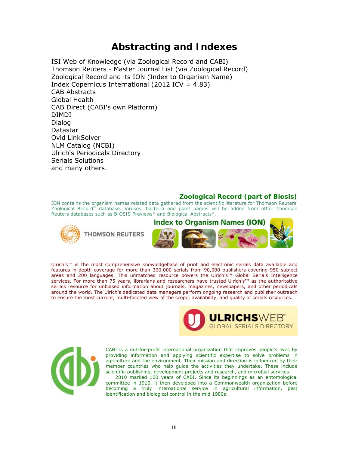### **Abstracting and Indexes**

ISI Web of Knowledge (via Zoological Record and CABI) Thomson Reuters - Master Journal List (via Zoological Record) Zoological Record and its ION (Index to Organism Name) Index Copernicus International  $(2012$  ICV = 4.83) CAB Abstracts Global Health CAB Direct (CABI's own Platform) DIMDI Dialog Datastar Ovid LinkSolver NLM Catalog (NCBI) Ulrich's Periodicals Directory Serials Solutions and many others.

#### **Zoological Record (part of Biosis)**

ION contains the organism names related data gathered from the scientific literature for Thomson Reuters' *Zoological Record®* database. Viruses, bacteria and plant names will be added from other Thomson Reuters databases such as *BIOSIS Previews®* and *Biological Abstracts®.*





Ulrich's™ is the most comprehensive knowledgebase of print and electronic serials data available and features in-depth coverage for more than 300,000 serials from 90,000 publishers covering 950 subject areas and 200 languages. This unmatched resource powers the Ulrich's™ Global Serials Intelligence services. For more than 75 years, librarians and researchers have trusted Ulrich's™ as the authoritative serials resource for unbiased information about journals, magazines, newspapers, and other periodicals around the world. The Ulrich's dedicated data managers perform ongoing research and publisher outreach to ensure the most current, multi-faceted view of the scope, availability, and quality of serials resources.





CABI is a not-for-profit international organization that improves people's lives by providing information and applying scientific expertise to solve problems in agriculture and the environment. Their mission and direction is influenced by their member countries who help guide the activities they undertake. These include scientific publishing, development projects and research, and microbial services.

 2010 marked 100 years of CABI. Since its beginnings as an entomological committee in 1910, it then developed into a Commonwealth organization before becoming a truly international service in agricultural information, pest identification and biological control in the mid 1980s.